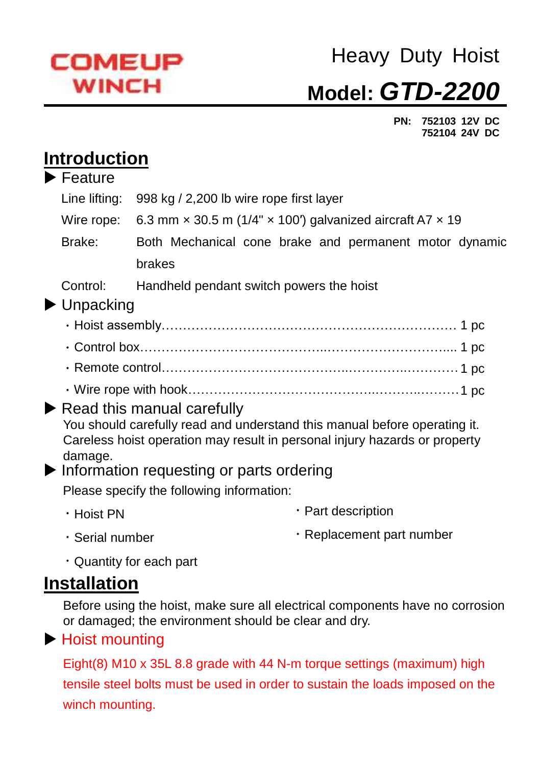

# Heavy Duty Hoist **Model:** *GTD-2200*

 **PN: 752103 12V DC 752104 24V DC**

### **Introduction**

|  | $\blacktriangleright$ Feature                                                         |                                                                                |  |  |  |  |  |  |  |
|--|---------------------------------------------------------------------------------------|--------------------------------------------------------------------------------|--|--|--|--|--|--|--|
|  | Line lifting:                                                                         | 998 kg / 2,200 lb wire rope first layer                                        |  |  |  |  |  |  |  |
|  | Wire rope:                                                                            | 6.3 mm $\times$ 30.5 m (1/4" $\times$ 100") galvanized aircraft A7 $\times$ 19 |  |  |  |  |  |  |  |
|  | Brake:                                                                                | Both Mechanical cone brake and permanent motor dynamic                         |  |  |  |  |  |  |  |
|  |                                                                                       | brakes                                                                         |  |  |  |  |  |  |  |
|  | Control:                                                                              | Handheld pendant switch powers the hoist                                       |  |  |  |  |  |  |  |
|  | $\blacktriangleright$ Unpacking                                                       |                                                                                |  |  |  |  |  |  |  |
|  |                                                                                       |                                                                                |  |  |  |  |  |  |  |
|  |                                                                                       |                                                                                |  |  |  |  |  |  |  |
|  |                                                                                       |                                                                                |  |  |  |  |  |  |  |
|  |                                                                                       |                                                                                |  |  |  |  |  |  |  |
|  | $\blacktriangleright$ Read this manual carefully                                      |                                                                                |  |  |  |  |  |  |  |
|  | You should carefully read and understand this manual before operating it.             |                                                                                |  |  |  |  |  |  |  |
|  | Careless hoist operation may result in personal injury hazards or property<br>damage. |                                                                                |  |  |  |  |  |  |  |
|  | $\blacktriangleright$ Information requesting or parts ordering                        |                                                                                |  |  |  |  |  |  |  |
|  | Please specify the following information:                                             |                                                                                |  |  |  |  |  |  |  |
|  | $\cdot$ Hoist PN                                                                      | · Part description                                                             |  |  |  |  |  |  |  |
|  | · Serial number                                                                       | · Replacement part number                                                      |  |  |  |  |  |  |  |
|  |                                                                                       | • Quantity for each part                                                       |  |  |  |  |  |  |  |
|  | Installation                                                                          |                                                                                |  |  |  |  |  |  |  |
|  |                                                                                       | Refere using the hojet make sure all electrical companents house no corresion  |  |  |  |  |  |  |  |

Before using the hoist, make sure all electrical components have no corrosion or damaged; the environment should be clear and dry.

### ▶ Hoist mounting

Eight(8) M10 x 35L 8.8 grade with 44 N-m torque settings (maximum) high tensile steel bolts must be used in order to sustain the loads imposed on the winch mounting.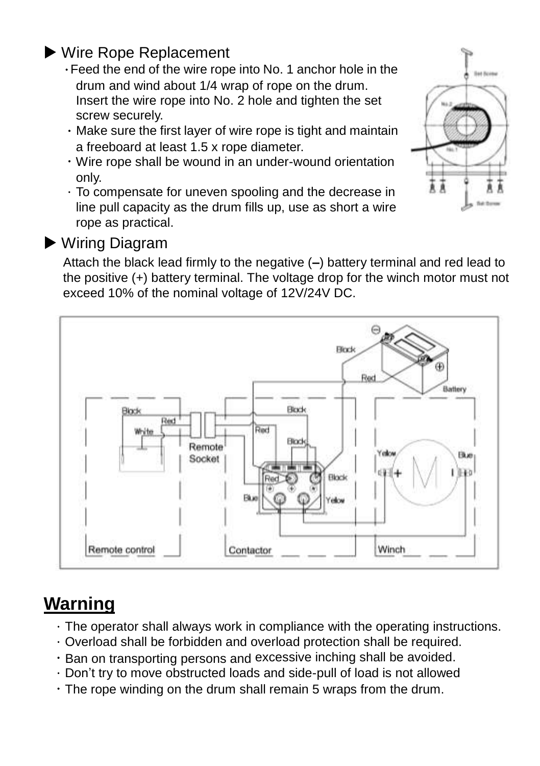### ▶ Wire Rope Replacement

- .Feed the end of the wire rope into No. 1 anchor hole in the drum and wind about 1/4 wrap of rope on the drum. Insert the wire rope into No. 2 hole and tighten the set screw securely.
- $\cdot$  Make sure the first layer of wire rope is tight and maintain a freeboard at least 1.5 x rope diameter.
- .Wire rope shall be wound in an under-wound orientation only.
- .To compensate for uneven spooling and the decrease in line pull capacity as the drum fills up, use as short a wire rope as practical.



#### ▶ Wiring Diagram

Attach the black lead firmly to the negative (**–**) battery terminal and red lead to the positive (+) battery terminal. The voltage drop for the winch motor must not exceed 10% of the nominal voltage of 12V/24V DC.



## **Warning**

- $\cdot$  The operator shall always work in compliance with the operating instructions.
- .Overload shall be forbidden and overload protection shall be required.
- . Ban on transporting persons and excessive inching shall be avoided.
- .Don't try to move obstructed loads and side-pull of load is not allowed
- .The rope winding on the drum shall remain 5 wraps from the drum.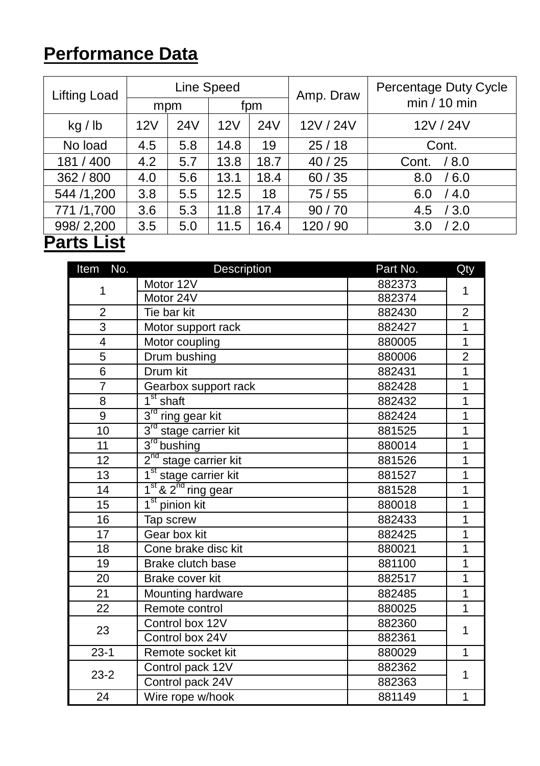# **Performance Data**

| <b>Lifting Load</b> | mpm |                 | Line Speed<br>fpm. |      | Amp. Draw | Percentage Duty Cycle<br>min/10 min |
|---------------------|-----|-----------------|--------------------|------|-----------|-------------------------------------|
| kg / lb             | 12V | 24 <sub>V</sub> | 12V                | 24V  | 12V / 24V | 12V / 24V                           |
| No load             | 4.5 | 5.8             | 14.8               | 19   | 25/18     | Cont.                               |
| 181 / 400           | 4.2 | 5.7             | 13.8               | 18.7 | 40/25     | / 8.0<br>Cont.                      |
| 362 / 800           | 4.0 | 5.6             | 13.1               | 18.4 | 60/35     | /6.0<br>8.0                         |
| 544 /1,200          | 3.8 | 5.5             | 12.5               | 18   | 75/55     | /4.0<br>6.0                         |
| 771 /1,700          | 3.6 | 5.3             | 11.8               | 17.4 | 90/70     | /3.0<br>4.5                         |
| 998/2,200           | 3.5 | 5.0             | 11.5               | 16.4 | 120 / 90  | /2.0<br>3.0                         |
| <b>Parts List</b>   |     |                 |                    |      |           |                                     |

| Item No.        | <b>Description</b>                          | Part No. | Qty            |  |
|-----------------|---------------------------------------------|----------|----------------|--|
|                 | Motor 12V                                   | 882373   |                |  |
| 1               | Motor 24V                                   | 882374   | 1              |  |
| $\overline{c}$  | Tie bar kit                                 | 882430   | $\overline{c}$ |  |
| $\overline{3}$  | Motor support rack                          | 882427   | 1              |  |
| 4               | Motor coupling                              | 880005   | $\overline{1}$ |  |
| $\overline{5}$  | Drum bushing                                | 880006   | $\overline{2}$ |  |
| 6               | Drum kit                                    | 882431   | $\overline{1}$ |  |
| $\overline{7}$  | Gearbox support rack                        | 882428   | 1              |  |
| 8               | $\overline{1^{\text{st}}}$ shaft            | 882432   | 1              |  |
| $\overline{9}$  | $3rd$ ring gear kit                         | 882424   | $\overline{1}$ |  |
| 10              | 3 <sup>rd</sup> stage carrier kit           | 881525   | 1              |  |
| 11              | $3rd$ bushing                               | 880014   | 1              |  |
| $\overline{12}$ | $2nd$ stage carrier kit                     | 881526   | 1              |  |
| 13              | 1 <sup>st</sup> stage carrier kit           | 881527   | 1              |  |
| 14              | 1 <sup>st</sup> & 2 <sup>nd</sup> ring gear | 881528   | 1              |  |
| 15              | $1st$ pinion kit                            | 880018   | 1              |  |
| $\overline{16}$ | Tap screw                                   | 882433   | 1              |  |
| $\overline{17}$ | Gear box kit                                | 882425   | 1              |  |
| $\overline{18}$ | Cone brake disc kit                         | 880021   | $\overline{1}$ |  |
| $\overline{19}$ | Brake clutch base                           | 881100   | 1              |  |
| $\overline{20}$ | Brake cover kit                             | 882517   | $\overline{1}$ |  |
| 21              | Mounting hardware                           | 882485   | 1              |  |
| 22              | Remote control                              | 880025   | 1              |  |
| 23              | Control box 12V                             | 882360   | 1              |  |
|                 | Control box 24V                             | 882361   |                |  |
| $23-1$          | Remote socket kit                           | 880029   | 1              |  |
| $23-2$          | Control pack 12V                            | 882362   | 1              |  |
|                 | Control pack 24V                            | 882363   |                |  |
| 24              | Wire rope w/hook                            | 881149   | 1              |  |